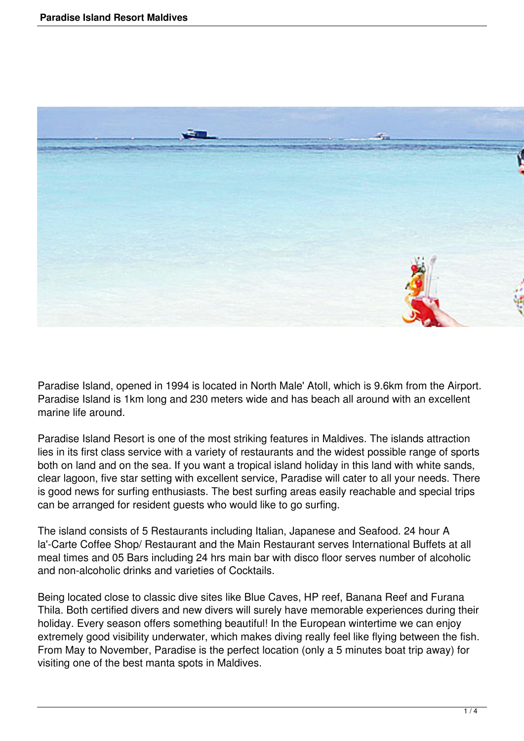

Paradise Island, opened in 1994 is located in North Male' Atoll, which is 9.6km from the Airport. Paradise Island is 1km long and 230 meters wide and has beach all around with an excellent marine life around.

Paradise Island Resort is one of the most striking features in Maldives. The islands attraction lies in its first class service with a variety of restaurants and the widest possible range of sports both on land and on the sea. If you want a tropical island holiday in this land with white sands, clear lagoon, five star setting with excellent service, Paradise will cater to all your needs. There is good news for surfing enthusiasts. The best surfing areas easily reachable and special trips can be arranged for resident guests who would like to go surfing.

The island consists of 5 Restaurants including Italian, Japanese and Seafood. 24 hour A la'-Carte Coffee Shop/ Restaurant and the Main Restaurant serves International Buffets at all meal times and 05 Bars including 24 hrs main bar with disco floor serves number of alcoholic and non-alcoholic drinks and varieties of Cocktails.

Being located close to classic dive sites like Blue Caves, HP reef, Banana Reef and Furana Thila. Both certified divers and new divers will surely have memorable experiences during their holiday. Every season offers something beautiful! In the European wintertime we can enjoy extremely good visibility underwater, which makes diving really feel like flying between the fish. From May to November, Paradise is the perfect location (only a 5 minutes boat trip away) for visiting one of the best manta spots in Maldives.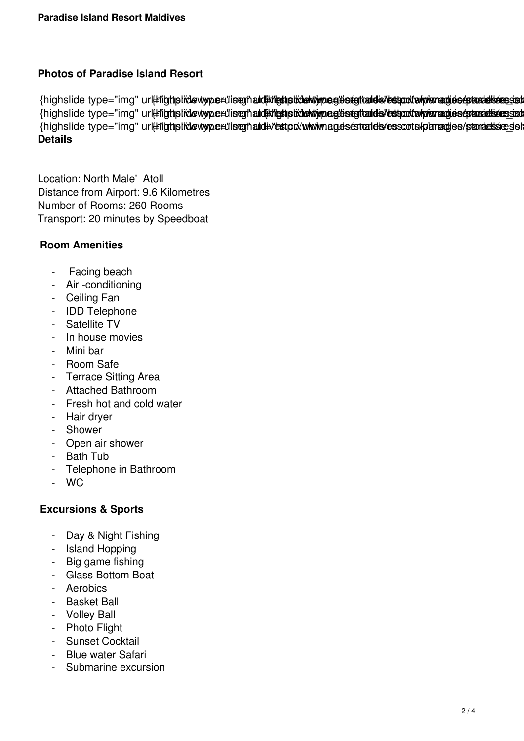# **Photos of Paradise Island Resort**

{highslide type="img" ur#ligtiplidevtype#liseghald#detiplidektiypeglisegtald#s/estatitekyiaradiosepaatalisessist {highslide type="img" ur|#lighslide wype#liseghald#restration/wpeglisegtald="estation/www.adjos/panadisesset {highslide type="img" url#ligtipli/devtype#"iseghald#"estpd/www.magesestrates/esscots/paradies/paradissessel **Details**

Location: North Male' Atoll Distance from Airport: 9.6 Kilometres Number of Rooms: 260 Rooms Transport: 20 minutes by Speedboat

## **Room Amenities**

- Facing beach
- Air -conditioning
- Ceiling Fan
- IDD Telephone
- Satellite TV
- In house movies
- Mini bar
- Room Safe
- Terrace Sitting Area
- Attached Bathroom
- Fresh hot and cold water
- Hair dryer
- Shower
- Open air shower
- Bath Tub
- Telephone in Bathroom
- WC

#### **Excursions & Sports**

- Day & Night Fishing
- Island Hopping
- Big game fishing
- Glass Bottom Boat
- Aerobics
- Basket Ball
- Volley Ball
- Photo Flight
- Sunset Cocktail
- Blue water Safari
- Submarine excursion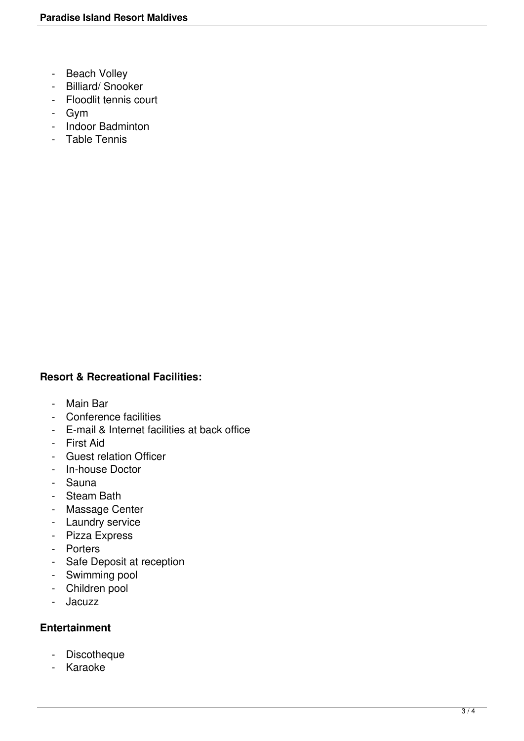- Beach Volley
- Billiard/ Snooker
- Floodlit tennis court
- Gym
- Indoor Badminton
- Table Tennis

### **Resort & Recreational Facilities:**

- Main Bar
- Conference facilities
- E-mail & Internet facilities at back office
- First Aid
- Guest relation Officer
- In-house Doctor
- Sauna
- Steam Bath
- Massage Center
- Laundry service
- Pizza Express
- Porters
- Safe Deposit at reception
- Swimming pool
- Children pool
- Jacuzz

#### **Entertainment**

- Discotheque
- Karaoke